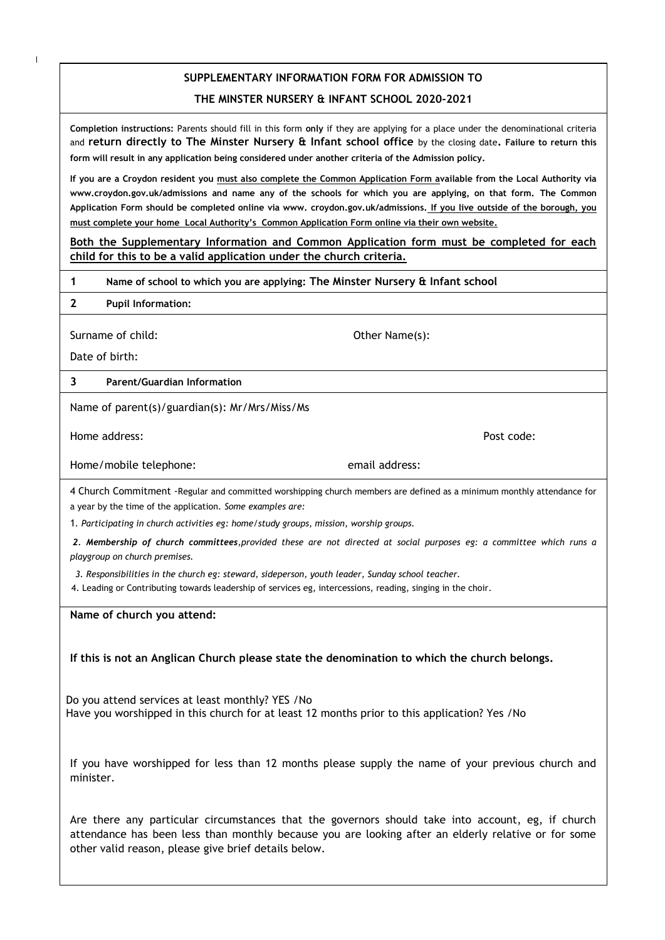## **SUPPLEMENTARY INFORMATION FORM FOR ADMISSION TO THE MINSTER NURSERY & INFANT SCHOOL 2020-2021**

**Completion instructions:** Parents should fill in this form **only** if they are applying for a place under the denominational criteria and **return directly to The Minster Nursery & Infant school office** by the closing date**. Failure to return this form will result in any application being considered under another criteria of the Admission policy.**

**If you are a Croydon resident you must also complete the Common Application Form available from the Local Authority via www.croydon.gov.uk/admissions and name any of the schools for which you are applying, on that form. The Common Application Form should be completed online via www. croydon.gov.uk/admissions. If you live outside of the borough, you must complete your home Local Authority's Common Application Form online via their own website.**

**Both the Supplementary Information and Common Application form must be completed for each child for this to be a valid application under the church criteria.**

- **1 Name of school to which you are applying: The Minster Nursery & Infant school**
- **2 Pupil Information:**

Surname of child: Case of the Child: Case of the Other Name(s):

Date of birth:

## **3 Parent/Guardian Information**

Name of parent(s)/guardian(s): Mr/Mrs/Miss/Ms

Home address: Post code:

Home/mobile telephone: email address:

4 Church Commitment -Regular and committed worshipping church members are defined as a minimum monthly attendance for a year by the time of the application*. Some examples are:*

1*. Participating in church activities eg: home/study groups, mission, worship groups.*

*2. Membership of church committees,provided these are not directed at social purposes eg: a committee which runs a playgroup on church premises.*

*3. Responsibilities in the church eg: steward, sideperson, youth leader, Sunday school teacher.*

4. Leading or Contributing towards leadership of services eg, intercessions, reading, singing in the choir.

**Name of church you attend:**

**If this is not an Anglican Church please state the denomination to which the church belongs.**

Do you attend services at least monthly? YES /No Have you worshipped in this church for at least 12 months prior to this application? Yes /No

If you have worshipped for less than 12 months please supply the name of your previous church and minister.

Are there any particular circumstances that the governors should take into account, eg, if church attendance has been less than monthly because you are looking after an elderly relative or for some other valid reason, please give brief details below.